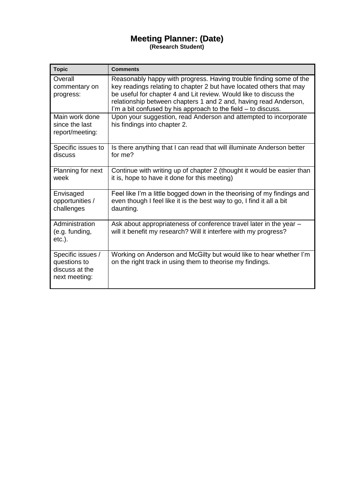# **Meeting Planner: (Date)**

**(Research Student)**

| <b>Topic</b>                                                         | <b>Comments</b>                                                                                                                                                                                                                                                                                                                                     |
|----------------------------------------------------------------------|-----------------------------------------------------------------------------------------------------------------------------------------------------------------------------------------------------------------------------------------------------------------------------------------------------------------------------------------------------|
| Overall<br>commentary on<br>progress:                                | Reasonably happy with progress. Having trouble finding some of the<br>key readings relating to chapter 2 but have located others that may<br>be useful for chapter 4 and Lit review. Would like to discuss the<br>relationship between chapters 1 and 2 and, having read Anderson,<br>I'm a bit confused by his approach to the field – to discuss. |
| Main work done<br>since the last<br>report/meeting:                  | Upon your suggestion, read Anderson and attempted to incorporate<br>his findings into chapter 2.                                                                                                                                                                                                                                                    |
| Specific issues to<br>discuss                                        | Is there anything that I can read that will illuminate Anderson better<br>for me?                                                                                                                                                                                                                                                                   |
| Planning for next<br>week                                            | Continue with writing up of chapter 2 (thought it would be easier than<br>it is, hope to have it done for this meeting)                                                                                                                                                                                                                             |
| Envisaged<br>opportunities /<br>challenges                           | Feel like I'm a little bogged down in the theorising of my findings and<br>even though I feel like it is the best way to go, I find it all a bit<br>daunting.                                                                                                                                                                                       |
| Administration<br>(e.g. funding,<br>$etc.$ ).                        | Ask about appropriateness of conference travel later in the year -<br>will it benefit my research? Will it interfere with my progress?                                                                                                                                                                                                              |
| Specific issues /<br>questions to<br>discuss at the<br>next meeting: | Working on Anderson and McGilty but would like to hear whether I'm<br>on the right track in using them to theorise my findings.                                                                                                                                                                                                                     |